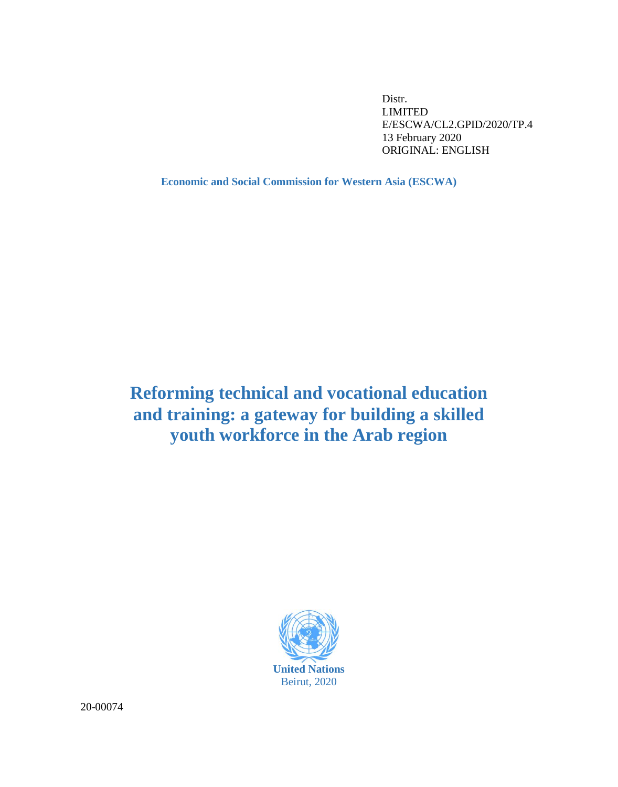Distr. LIMITED E/ESCWA/CL2.GPID/2020/TP.4 13 February 2020 ORIGINAL: ENGLISH

**Economic and Social Commission for Western Asia (ESCWA)**

# **Reforming technical and vocational education and training: a gateway for building a skilled youth workforce in the Arab region**



20-00074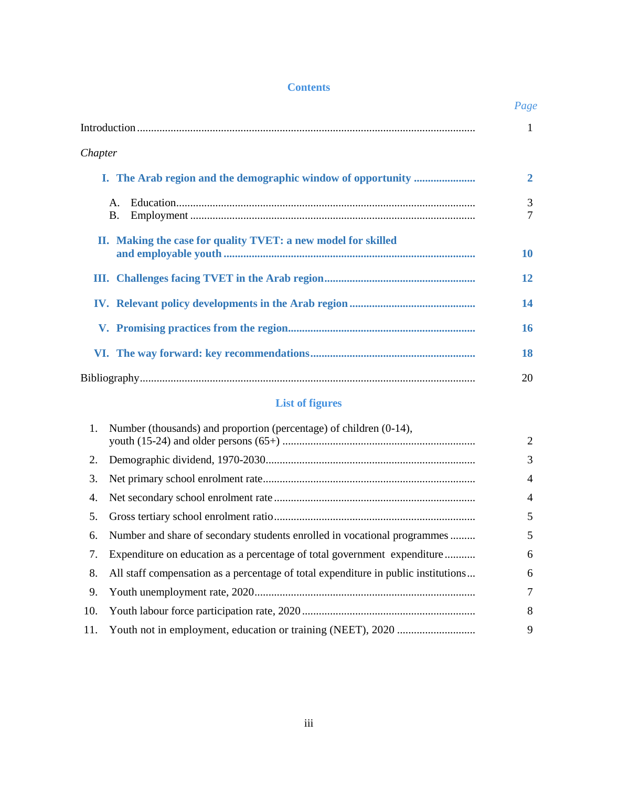# **Contents**

|                                                               | Page         |
|---------------------------------------------------------------|--------------|
|                                                               | 1            |
| Chapter                                                       |              |
|                                                               | $\mathbf{2}$ |
| $\mathsf{A}$ .<br><b>B.</b>                                   | 3<br>7       |
| II. Making the case for quality TVET: a new model for skilled | 10           |
|                                                               | 12           |
|                                                               | 14           |
|                                                               | 16           |
|                                                               | 18           |
|                                                               | 20           |

# **List of figures**

| 1. | Number (thousands) and proportion (percentage) of children (0-14),                    | 2              |
|----|---------------------------------------------------------------------------------------|----------------|
|    |                                                                                       | 3              |
| 3. |                                                                                       | $\overline{4}$ |
|    |                                                                                       | $\overline{4}$ |
| 5. |                                                                                       | 5              |
| 6. | Number and share of secondary students enrolled in vocational programmes              | 5              |
| 7. | Expenditure on education as a percentage of total government expenditure              | 6              |
|    | 8. All staff compensation as a percentage of total expenditure in public institutions | 6              |
| 9. |                                                                                       | 7              |
|    |                                                                                       | 8              |
|    |                                                                                       | 9              |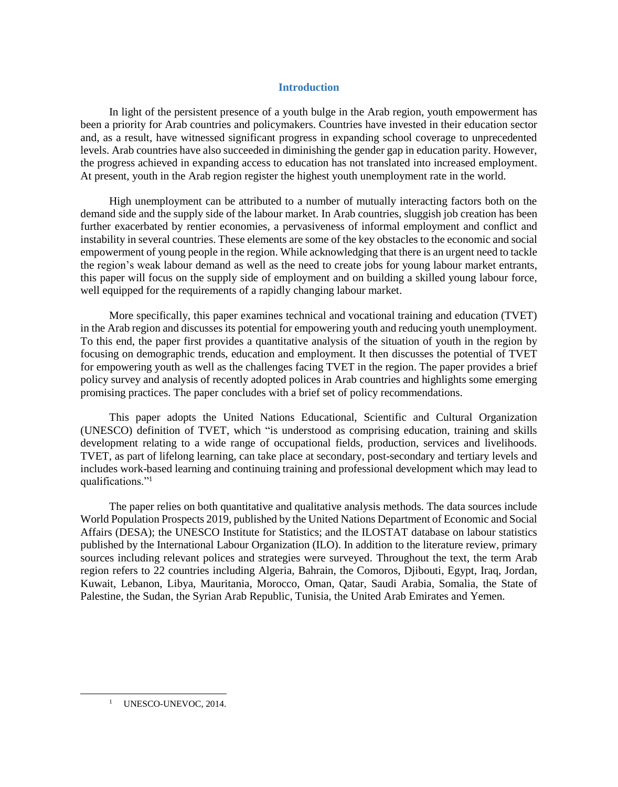### **Introduction**

<span id="page-2-0"></span>In light of the persistent presence of a youth bulge in the Arab region, youth empowerment has been a priority for Arab countries and policymakers. Countries have invested in their education sector and, as a result, have witnessed significant progress in expanding school coverage to unprecedented levels. Arab countries have also succeeded in diminishing the gender gap in education parity. However, the progress achieved in expanding access to education has not translated into increased employment. At present, youth in the Arab region register the highest youth unemployment rate in the world.

High unemployment can be attributed to a number of mutually interacting factors both on the demand side and the supply side of the labour market. In Arab countries, sluggish job creation has been further exacerbated by rentier economies, a pervasiveness of informal employment and conflict and instability in several countries. These elements are some of the key obstacles to the economic and social empowerment of young people in the region. While acknowledging that there is an urgent need to tackle the region's weak labour demand as well as the need to create jobs for young labour market entrants, this paper will focus on the supply side of employment and on building a skilled young labour force, well equipped for the requirements of a rapidly changing labour market.

More specifically, this paper examines technical and vocational training and education (TVET) in the Arab region and discusses its potential for empowering youth and reducing youth unemployment. To this end, the paper first provides a quantitative analysis of the situation of youth in the region by focusing on demographic trends, education and employment. It then discusses the potential of TVET for empowering youth as well as the challenges facing TVET in the region. The paper provides a brief policy survey and analysis of recently adopted polices in Arab countries and highlights some emerging promising practices. The paper concludes with a brief set of policy recommendations.

This paper adopts the United Nations Educational, Scientific and Cultural Organization (UNESCO) definition of TVET, which "is understood as comprising education, training and skills development relating to a wide range of occupational fields, production, services and livelihoods. TVET, as part of lifelong learning, can take place at secondary, post-secondary and tertiary levels and includes work-based learning and continuing training and professional development which may lead to qualifications."<sup>1</sup>

The paper relies on both quantitative and qualitative analysis methods. The data sources include World Population Prospects 2019, published by the United Nations Department of Economic and Social Affairs (DESA); the UNESCO Institute for Statistics; and the ILOSTAT database on labour statistics published by the International Labour Organization (ILO). In addition to the literature review, primary sources including relevant polices and strategies were surveyed. Throughout the text, the term Arab region refers to 22 countries including Algeria, Bahrain, the Comoros, Djibouti, Egypt, Iraq, Jordan, Kuwait, Lebanon, Libya, Mauritania, Morocco, Oman, Qatar, Saudi Arabia, Somalia, the State of Palestine, the Sudan, the Syrian Arab Republic, Tunisia, the United Arab Emirates and Yemen.

 $\overline{a}$ 

<sup>&</sup>lt;sup>1</sup> UNESCO-UNEVOC, 2014.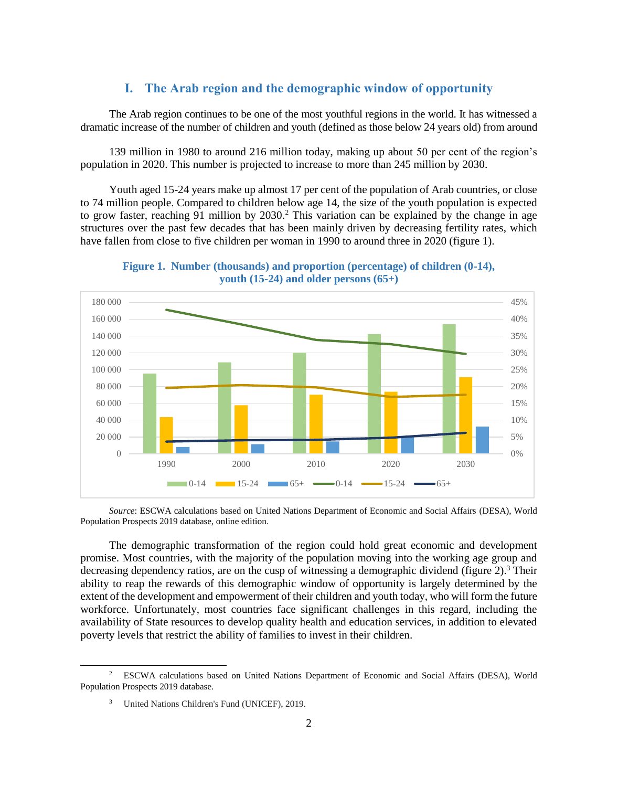# **I. The Arab region and the demographic window of opportunity**

<span id="page-3-0"></span>The Arab region continues to be one of the most youthful regions in the world. It has witnessed a dramatic increase of the number of children and youth (defined as those below 24 years old) from around

139 million in 1980 to around 216 million today, making up about 50 per cent of the region's population in 2020. This number is projected to increase to more than 245 million by 2030.

Youth aged 15-24 years make up almost 17 per cent of the population of Arab countries, or close to 74 million people. Compared to children below age 14, the size of the youth population is expected to grow faster, reaching 91 million by  $2030<sup>2</sup>$ . This variation can be explained by the change in age structures over the past few decades that has been mainly driven by decreasing fertility rates, which have fallen from close to five children per woman in 1990 to around three in 2020 (figure 1).

**Figure 1. Number (thousands) and proportion (percentage) of children (0-14), youth (15-24) and older persons (65+)**

<span id="page-3-1"></span>

*Source*: ESCWA calculations based on United Nations Department of Economic and Social Affairs (DESA), World Population Prospects 2019 database, online edition.

The demographic transformation of the region could hold great economic and development promise. Most countries, with the majority of the population moving into the working age group and decreasing dependency ratios, are on the cusp of witnessing a demographic dividend (figure  $2$ ).<sup>3</sup> Their ability to reap the rewards of this demographic window of opportunity is largely determined by the extent of the development and empowerment of their children and youth today, who will form the future workforce. Unfortunately, most countries face significant challenges in this regard, including the availability of State resources to develop quality health and education services, in addition to elevated poverty levels that restrict the ability of families to invest in their children.

<sup>&</sup>lt;sup>2</sup> ESCWA calculations based on United Nations Department of Economic and Social Affairs (DESA), World Population Prospects 2019 database.

<sup>3</sup> United Nations Children's Fund (UNICEF), 2019.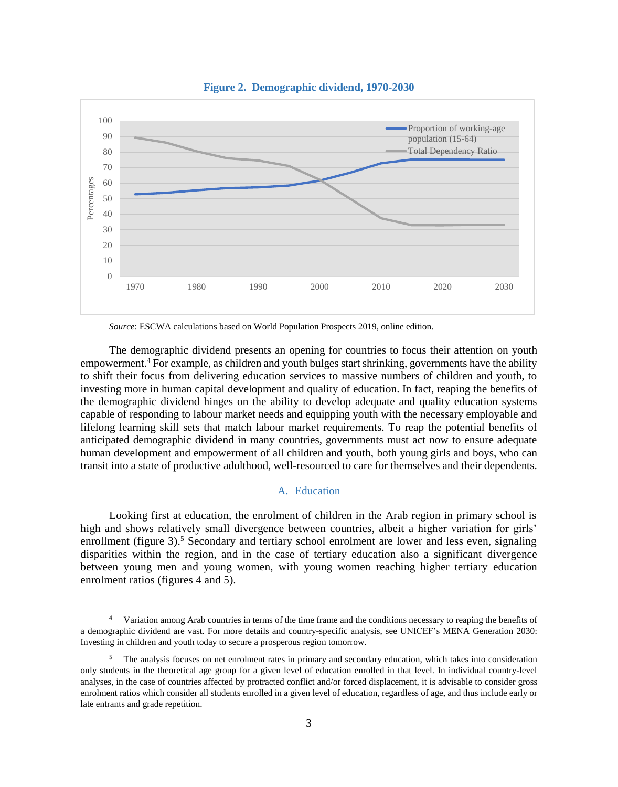<span id="page-4-1"></span>

**Figure 2. Demographic dividend, 1970-2030**

*Source*: ESCWA calculations based on World Population Prospects 2019, online edition.

The demographic dividend presents an opening for countries to focus their attention on youth empowerment.<sup>4</sup> For example, as children and youth bulges start shrinking, governments have the ability to shift their focus from delivering education services to massive numbers of children and youth, to investing more in human capital development and quality of education. In fact, reaping the benefits of the demographic dividend hinges on the ability to develop adequate and quality education systems capable of responding to labour market needs and equipping youth with the necessary employable and lifelong learning skill sets that match labour market requirements. To reap the potential benefits of anticipated demographic dividend in many countries, governments must act now to ensure adequate human development and empowerment of all children and youth, both young girls and boys, who can transit into a state of productive adulthood, well-resourced to care for themselves and their dependents.

### A. Education

<span id="page-4-0"></span>Looking first at education, the enrolment of children in the Arab region in primary school is high and shows relatively small divergence between countries, albeit a higher variation for girls' enrollment (figure 3).<sup>5</sup> Secondary and tertiary school enrolment are lower and less even, signaling disparities within the region, and in the case of tertiary education also a significant divergence between young men and young women, with young women reaching higher tertiary education enrolment ratios (figures 4 and 5).

<sup>4</sup> Variation among Arab countries in terms of the time frame and the conditions necessary to reaping the benefits of a demographic dividend are vast. For more details and country-specific analysis, see UNICEF's MENA Generation 2030: Investing in children and youth today to secure a prosperous region tomorrow.

<sup>&</sup>lt;sup>5</sup> The analysis focuses on net enrolment rates in primary and secondary education, which takes into consideration only students in the theoretical age group for a given level of education enrolled in that level. In individual country-level analyses, in the case of countries affected by protracted conflict and/or forced displacement, it is advisable to consider gross enrolment ratios which consider all students enrolled in a given level of education, regardless of age, and thus include early or late entrants and grade repetition.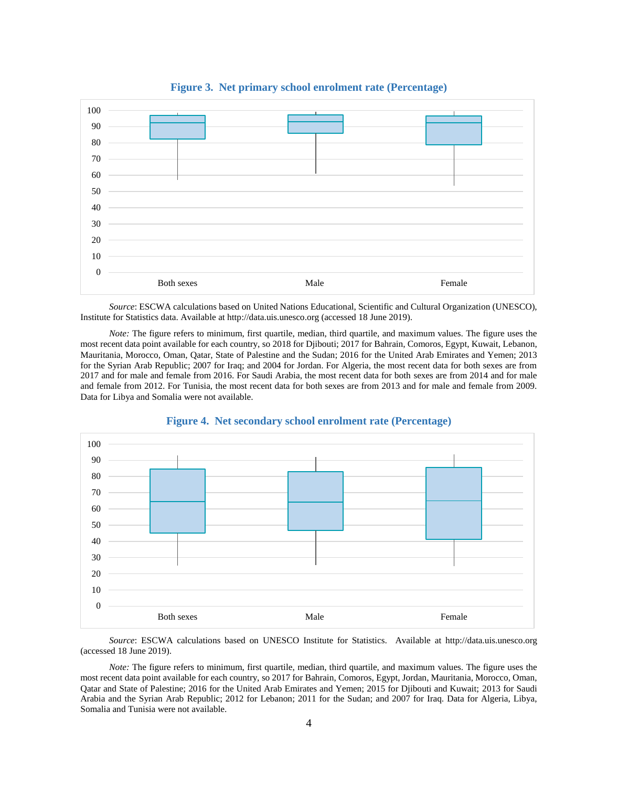<span id="page-5-0"></span>

**Figure 3. Net primary school enrolment rate (Percentage)**

*Source*: ESCWA calculations based on United Nations Educational, Scientific and Cultural Organization (UNESCO), Institute for Statistics data. Available at http://data.uis.unesco.org (accessed 18 June 2019).

*Note:* The figure refers to minimum, first quartile, median, third quartile, and maximum values. The figure uses the most recent data point available for each country, so 2018 for Djibouti; 2017 for Bahrain, Comoros, Egypt, Kuwait, Lebanon, Mauritania, Morocco, Oman, Qatar, State of Palestine and the Sudan; 2016 for the United Arab Emirates and Yemen; 2013 for the Syrian Arab Republic; 2007 for Iraq; and 2004 for Jordan. For Algeria, the most recent data for both sexes are from 2017 and for male and female from 2016. For Saudi Arabia, the most recent data for both sexes are from 2014 and for male and female from 2012. For Tunisia, the most recent data for both sexes are from 2013 and for male and female from 2009. Data for Libya and Somalia were not available.

<span id="page-5-1"></span>

### **Figure 4. Net secondary school enrolment rate (Percentage)**

*Source*: ESCWA calculations based on UNESCO Institute for Statistics. Available at http://data.uis.unesco.org (accessed 18 June 2019).

*Note:* The figure refers to minimum, first quartile, median, third quartile, and maximum values. The figure uses the most recent data point available for each country, so 2017 for Bahrain, Comoros, Egypt, Jordan, Mauritania, Morocco, Oman, Qatar and State of Palestine; 2016 for the United Arab Emirates and Yemen; 2015 for Djibouti and Kuwait; 2013 for Saudi Arabia and the Syrian Arab Republic; 2012 for Lebanon; 2011 for the Sudan; and 2007 for Iraq. Data for Algeria, Libya, Somalia and Tunisia were not available.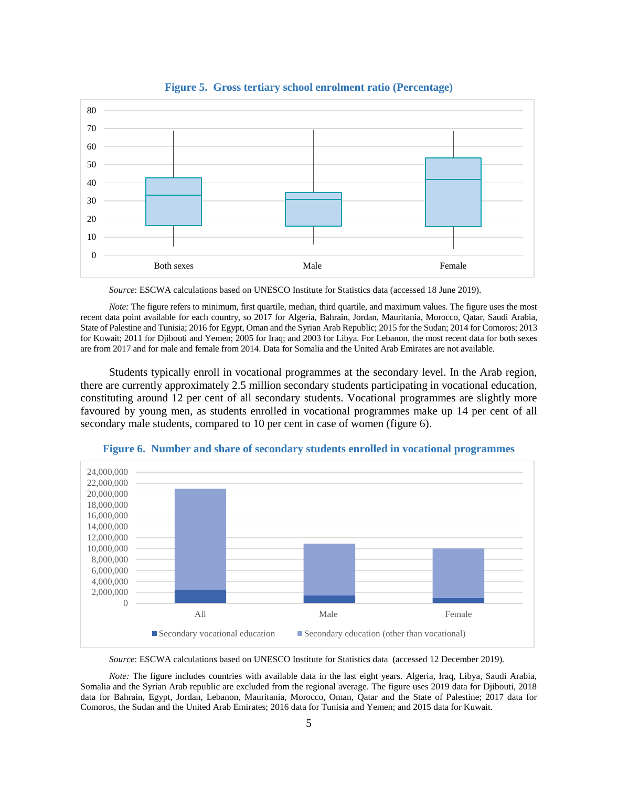<span id="page-6-0"></span>

**Figure 5. Gross tertiary school enrolment ratio (Percentage)**

*Source*: ESCWA calculations based o[n UNESCO Institute for Statistics](file:///C:/Users/10130514/AppData/Local/Microsoft/Windows/INetCache/Content.Outlook/UJSOJVA6/Available%20at%20http:/data.uis.unesco.org) data (accessed 18 June 2019).

*Note:* The figure refers to minimum, first quartile, median, third quartile, and maximum values. The figure uses the most recent data point available for each country, so 2017 for Algeria, Bahrain, Jordan, Mauritania, Morocco, Qatar, Saudi Arabia, State of Palestine and Tunisia; 2016 for Egypt, Oman and the Syrian Arab Republic; 2015 for the Sudan; 2014 for Comoros; 2013 for Kuwait; 2011 for Djibouti and Yemen; 2005 for Iraq; and 2003 for Libya. For Lebanon, the most recent data for both sexes are from 2017 and for male and female from 2014. Data for Somalia and the United Arab Emirates are not available.

Students typically enroll in vocational programmes at the secondary level. In the Arab region, there are currently approximately 2.5 million secondary students participating in vocational education, constituting around 12 per cent of all secondary students. Vocational programmes are slightly more favoured by young men, as students enrolled in vocational programmes make up 14 per cent of all secondary male students, compared to 10 per cent in case of women (figure 6).

<span id="page-6-1"></span>

**Figure 6. Number and share of secondary students enrolled in vocational programmes**

*Source*: ESCWA calculations based on UNESCO [Institute for Statistics](file:///C:/Users/10130514/AppData/Local/Microsoft/Windows/INetCache/Content.Outlook/UJSOJVA6/Available%20at%20http:/data.uis.unesco.org) data (accessed 12 December 2019).

*Note:* The figure includes countries with available data in the last eight years. Algeria, Iraq, Libya, Saudi Arabia, Somalia and the Syrian Arab republic are excluded from the regional average. The figure uses 2019 data for Djibouti, 2018 data for Bahrain, Egypt, Jordan, Lebanon, Mauritania, Morocco, Oman, Qatar and the State of Palestine; 2017 data for Comoros, the Sudan and the United Arab Emirates; 2016 data for Tunisia and Yemen; and 2015 data for Kuwait.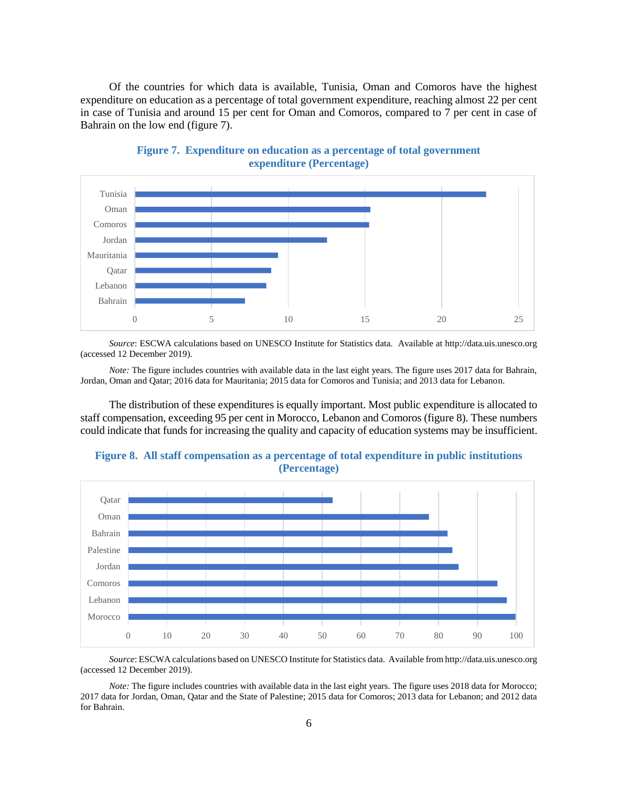Of the countries for which data is available, Tunisia, Oman and Comoros have the highest expenditure on education as a percentage of total government expenditure, reaching almost 22 per cent in case of Tunisia and around 15 per cent for Oman and Comoros, compared to 7 per cent in case of Bahrain on the low end (figure 7).

<span id="page-7-0"></span>

**Figure 7. Expenditure on education as a percentage of total government expenditure (Percentage)**

*Source*: ESCWA calculations based on UNESCO Institute for Statistics data. Available at http://data.uis.unesco.org (accessed 12 December 2019).

*Note:* The figure includes countries with available data in the last eight years. The figure uses 2017 data for Bahrain, Jordan, Oman and Qatar; 2016 data for Mauritania; 2015 data for Comoros and Tunisia; and 2013 data for Lebanon.

The distribution of these expenditures is equally important. Most public expenditure is allocated to staff compensation, exceeding 95 per cent in Morocco, Lebanon and Comoros (figure 8). These numbers could indicate that funds for increasing the quality and capacity of education systems may be insufficient.



<span id="page-7-1"></span>

*Source*: ESCWA calculations based on UNESCO Institute for Statistics data. Available from http://data.uis.unesco.org (accessed 12 December 2019).

*Note:* The figure includes countries with available data in the last eight years. The figure uses 2018 data for Morocco; 2017 data for Jordan, Oman, Qatar and the State of Palestine; 2015 data for Comoros; 2013 data for Lebanon; and 2012 data for Bahrain.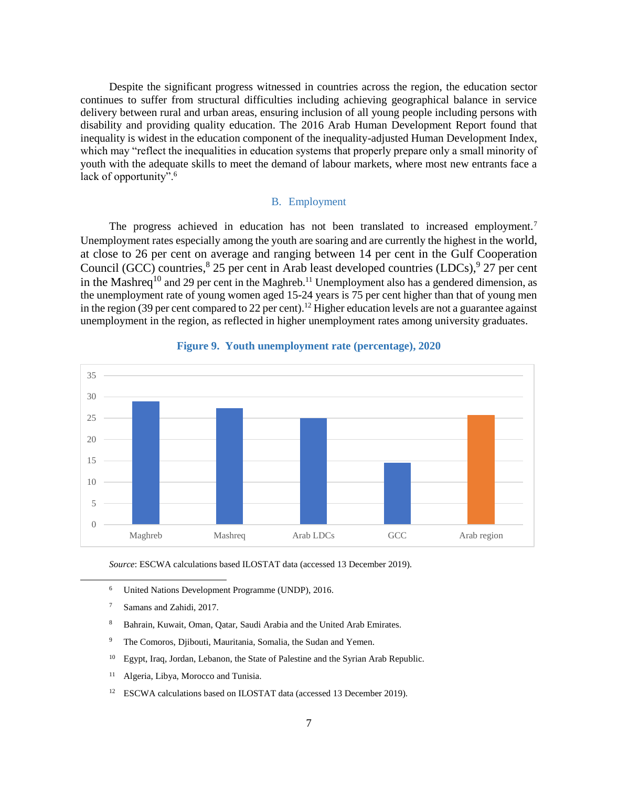Despite the significant progress witnessed in countries across the region, the education sector continues to suffer from structural difficulties including achieving geographical balance in service delivery between rural and urban areas, ensuring inclusion of all young people including persons with disability and providing quality education. The 2016 Arab Human Development Report found that inequality is widest in the education component of the inequality-adjusted Human Development Index, which may "reflect the inequalities in education systems that properly prepare only a small minority of youth with the adequate skills to meet the demand of labour markets, where most new entrants face a lack of opportunity".<sup>6</sup>

### B. Employment

<span id="page-8-0"></span>The progress achieved in education has not been translated to increased employment.<sup>7</sup> Unemployment rates especially among the youth are soaring and are currently the highest in the world, at close to 26 per cent on average and ranging between 14 per cent in the Gulf Cooperation Council (GCC) countries,  $8\text{ }25$  per cent in Arab least developed countries (LDCs),  $9\text{ }27$  per cent in the Mashreq<sup>10</sup> and 29 per cent in the Maghreb.<sup>11</sup> Unemployment also has a gendered dimension, as the unemployment rate of young women aged 15-24 years is 75 per cent higher than that of young men in the region (39 per cent compared to 22 per cent).<sup>12</sup> Higher education levels are not a guarantee against unemployment in the region, as reflected in higher unemployment rates among university graduates.

<span id="page-8-1"></span>

### **Figure 9. Youth unemployment rate (percentage), 2020**

*Source*: ESCWA calculations based ILOSTAT data (accessed 13 December 2019).

- <sup>6</sup> United Nations Development Programme (UNDP), 2016.
- <sup>7</sup> Samans and Zahidi, 2017.

- <sup>8</sup> Bahrain, Kuwait, Oman, Qatar, Saudi Arabia and the United Arab Emirates.
- <sup>9</sup> The Comoros, Djibouti, Mauritania, Somalia, the Sudan and Yemen.
- <sup>10</sup> Egypt, Iraq, Jordan, Lebanon, the State of Palestine and the Syrian Arab Republic.
- <sup>11</sup> Algeria, Libya, Morocco and Tunisia.
- <sup>12</sup> ESCWA calculations based on ILOSTAT data (accessed 13 December 2019).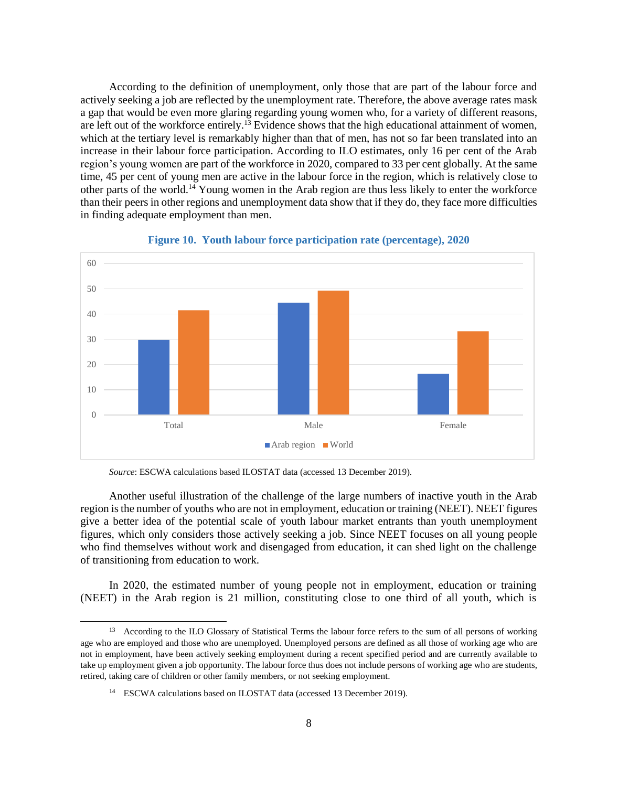According to the definition of unemployment, only those that are part of the labour force and actively seeking a job are reflected by the unemployment rate. Therefore, the above average rates mask a gap that would be even more glaring regarding young women who, for a variety of different reasons, are left out of the workforce entirely.<sup>13</sup> Evidence shows that the high educational attainment of women, which at the tertiary level is remarkably higher than that of men, has not so far been translated into an increase in their labour force participation. According to ILO estimates, only 16 per cent of the Arab region's young women are part of the workforce in 2020, compared to 33 per cent globally. At the same time, 45 per cent of young men are active in the labour force in the region, which is relatively close to other parts of the world.<sup>14</sup> Young women in the Arab region are thus less likely to enter the workforce than their peers in other regions and unemployment data show that if they do, they face more difficulties in finding adequate employment than men.

<span id="page-9-0"></span>

### **Figure 10. Youth labour force participation rate (percentage), 2020**

*Source*: ESCWA calculations based ILOSTAT data (accessed 13 December 2019).

Another useful illustration of the challenge of the large numbers of inactive youth in the Arab region is the number of youths who are not in employment, education or training (NEET). NEET figures give a better idea of the potential scale of youth labour market entrants than youth unemployment figures, which only considers those actively seeking a job. Since NEET focuses on all young people who find themselves without work and disengaged from education, it can shed light on the challenge of transitioning from education to work.

In 2020, the estimated number of young people not in employment, education or training (NEET) in the Arab region is 21 million, constituting close to one third of all youth, which is

<sup>&</sup>lt;sup>13</sup> According to the ILO Glossary of [Statistical](https://www.ilo.org/ilostat-files/Documents/Statistical%20Glossary.pdf) Terms the labour force refers to the sum of all persons of working age who are employed and those who are unemployed. Unemployed persons are defined as all those of working age who are not in employment, have been actively seeking employment during a recent specified period and are currently available to take up employment given a job opportunity. The labour force thus does not include persons of working age who are students, retired, taking care of children or other family members, or not seeking employment.

<sup>&</sup>lt;sup>14</sup> ESCWA calculations based on ILOSTAT data (accessed 13 December 2019).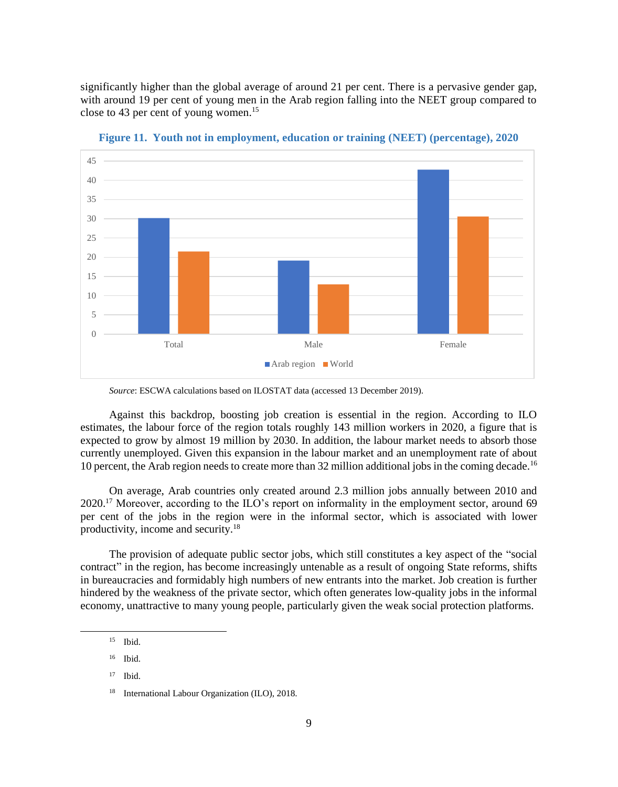significantly higher than the global average of around 21 per cent. There is a pervasive gender gap, with around 19 per cent of young men in the Arab region falling into the NEET group compared to close to 43 per cent of young women.<sup>15</sup>

<span id="page-10-0"></span>

**Figure 11. Youth not in employment, education or training (NEET) (percentage), 2020**

*Source*: ESCWA calculations based on ILOSTAT data (accessed 13 December 2019).

Against this backdrop, boosting job creation is essential in the region. According to ILO estimates, the labour force of the region totals roughly 143 million workers in 2020, a figure that is expected to grow by almost 19 million by 2030. In addition, the labour market needs to absorb those currently unemployed. Given this expansion in the labour market and an unemployment rate of about 10 percent, the Arab region needs to create more than 32 million additional jobs in the coming decade.<sup>16</sup>

On average, Arab countries only created around 2.3 million jobs annually between 2010 and  $2020$ <sup>17</sup> Moreover, according to the ILO's report on informality in the employment sector, around 69 per cent of the jobs in the region were in the informal sector, which is associated with lower productivity, income and security. 18

The provision of adequate public sector jobs, which still constitutes a key aspect of the "social contract" in the region, has become increasingly untenable as a result of ongoing State reforms, shifts in bureaucracies and formidably high numbers of new entrants into the market. Job creation is further hindered by the weakness of the private sector, which often generates low-quality jobs in the informal economy, unattractive to many young people, particularly given the weak social protection platforms.

<sup>15</sup> Ibid.

<sup>16</sup> Ibid.

 $17$  Ibid.

International Labour Organization (ILO), 2018.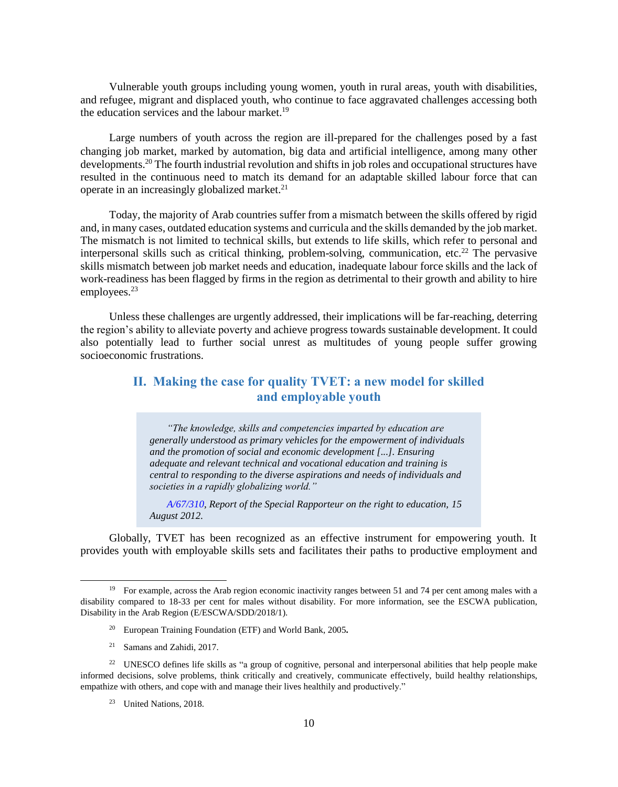Vulnerable youth groups including young women, youth in rural areas, youth with disabilities, and refugee, migrant and displaced youth, who continue to face aggravated challenges accessing both the education services and the labour market.<sup>19</sup>

Large numbers of youth across the region are ill-prepared for the challenges posed by a fast changing job market, marked by automation, big data and artificial intelligence, among many other developments. <sup>20</sup> The fourth industrial revolution and shifts in job roles and occupational structures have resulted in the continuous need to match its demand for an adaptable skilled labour force that can operate in an increasingly globalized market.<sup>21</sup>

Today, the majority of Arab countries suffer from a mismatch between the skills offered by rigid and, in many cases, outdated education systems and curricula and the skills demanded by the job market. The mismatch is not limited to technical skills, but extends to life skills, which refer to personal and interpersonal skills such as critical thinking, problem-solving, communication, etc.<sup>22</sup> The pervasive skills mismatch between job market needs and education, inadequate labour force skills and the lack of work-readiness has been flagged by firms in the region as detrimental to their growth and ability to hire employees. $23$ 

Unless these challenges are urgently addressed, their implications will be far-reaching, deterring the region's ability to alleviate poverty and achieve progress towards sustainable development. It could also potentially lead to further social unrest as multitudes of young people suffer growing socioeconomic frustrations.

# <span id="page-11-0"></span>**II. Making the case for quality TVET: a new model for skilled and employable youth**

*"The knowledge, skills and competencies imparted by education are generally understood as primary vehicles for the empowerment of individuals and the promotion of social and economic development [...]. Ensuring adequate and relevant technical and vocational education and training is central to responding to the diverse aspirations and needs of individuals and societies in a rapidly globalizing world."*

*[A/67/310,](https://www.right-to-education.org/sites/right-to-education.org/files/resource-attachments/UNSR_TVET_2012.pdf) Report of the Special Rapporteur on the right to education, 15 August 2012.*

Globally, TVET has been recognized as an effective instrument for empowering youth. It provides youth with employable skills sets and facilitates their paths to productive employment and

- <sup>20</sup> European Training Foundation (ETF) and World Bank, 2005**.**
- <sup>21</sup> Samans and Zahidi, 2017.

1

<sup>23</sup> United Nations, 2018.

<sup>&</sup>lt;sup>19</sup> For example, across the Arab region economic inactivity ranges between 51 and 74 per cent among males with a disability compared to 18-33 per cent for males without disability. For more information, see the ESCWA publication, Disability in the Arab Region [\(E/ESCWA/SDD/2018/1\)](file:///C:/Users/513854/Downloads/disability-arab-region-2018-english_1.pdf).

<sup>&</sup>lt;sup>22</sup> UNESCO defines life skills as "a group of cognitive, personal and interpersonal abilities that help people make informed decisions, solve problems, think critically and creatively, communicate effectively, build healthy relationships, empathize with others, and cope with and manage their lives healthily and productively."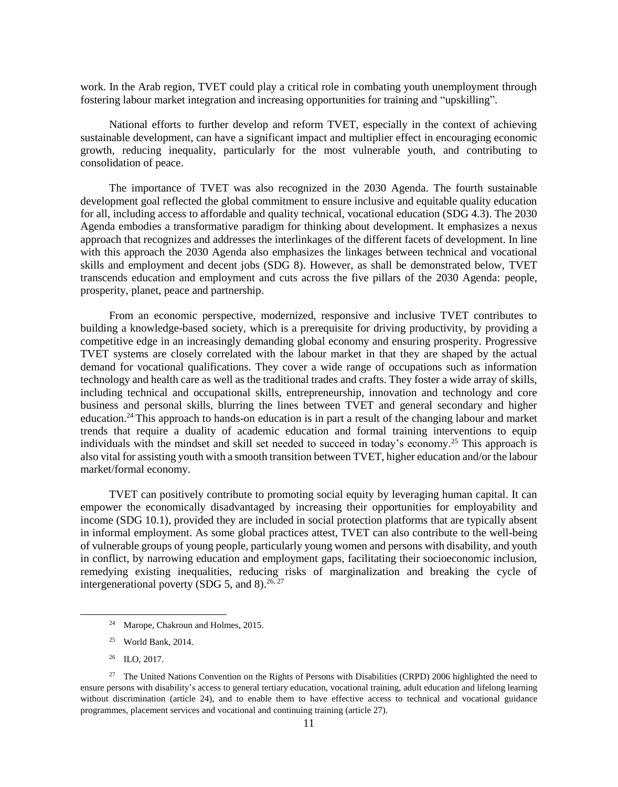work. In the Arab region, TVET could play a critical role in combating youth unemployment through fostering labour market integration and increasing opportunities for training and "upskilling".

National efforts to further develop and reform TVET, especially in the context of achieving sustainable development, can have a significant impact and multiplier effect in encouraging economic growth, reducing inequality, particularly for the most vulnerable youth, and contributing to consolidation of peace.

The importance of TVET was also recognized in the 2030 Agenda. The fourth sustainable development goal reflected the global commitment to ensure inclusive and equitable quality education for all, including access to affordable and quality technical, vocational education (SDG 4.3). The 2030 Agenda embodies a transformative paradigm for thinking about development. It emphasizes a nexus approach that recognizes and addresses the interlinkages of the different facets of development. In line with this approach the 2030 Agenda also emphasizes the linkages between technical and vocational skills and employment and decent jobs (SDG 8). However, as shall be demonstrated below, TVET transcends education and employment and cuts across the five pillars of the 2030 Agenda: people, prosperity, planet, peace and partnership.

From an economic perspective, modernized, responsive and inclusive TVET contributes to building a knowledge-based society, which is a prerequisite for driving productivity, by providing a competitive edge in an increasingly demanding global economy and ensuring prosperity. Progressive TVET systems are closely correlated with the labour market in that they are shaped by the actual demand for vocational qualifications. They cover a wide range of occupations such as information technology and health care as well as the traditional trades and crafts. They foster a wide array of skills, including technical and occupational skills, entrepreneurship, innovation and technology and core business and personal skills, blurring the lines between TVET and general secondary and higher education.<sup>24</sup> This approach to hands-on education is in part a result of the changing labour and market trends that require a duality of academic education and formal training interventions to equip individuals with the mindset and skill set needed to succeed in today's economy.<sup>25</sup> This approach is also vital for assisting youth with a smooth transition between TVET, higher education and/or the labour market/formal economy.

TVET can positively contribute to promoting social equity by leveraging human capital. It can empower the economically disadvantaged by increasing their opportunities for employability and income (SDG 10.1), provided they are included in social protection platforms that are typically absent in informal employment. As some global practices attest, TVET can also contribute to the well-being of vulnerable groups of young people, particularly young women and persons with disability, and youth in conflict, by narrowing education and employment gaps, facilitating their socioeconomic inclusion, remedying existing inequalities, reducing risks of marginalization and breaking the cycle of intergenerational poverty (SDG 5, and 8).<sup>26, 27</sup>

<sup>26</sup> ILO, 2017.

 $\overline{a}$ 

<sup>24</sup> Marope, Chakroun and Holmes, 2015.

<sup>25</sup> World Bank, 2014.

<sup>&</sup>lt;sup>27</sup> The United Nations Convention on the Rights of Persons with Disabilities (CRPD) 2006 highlighted the need to ensure persons with disability's access to general tertiary education, vocational training, adult education and lifelong learning without discrimination (article 24), and to enable them to have effective access to technical and vocational guidance programmes, placement services and vocational and continuing training (article 27).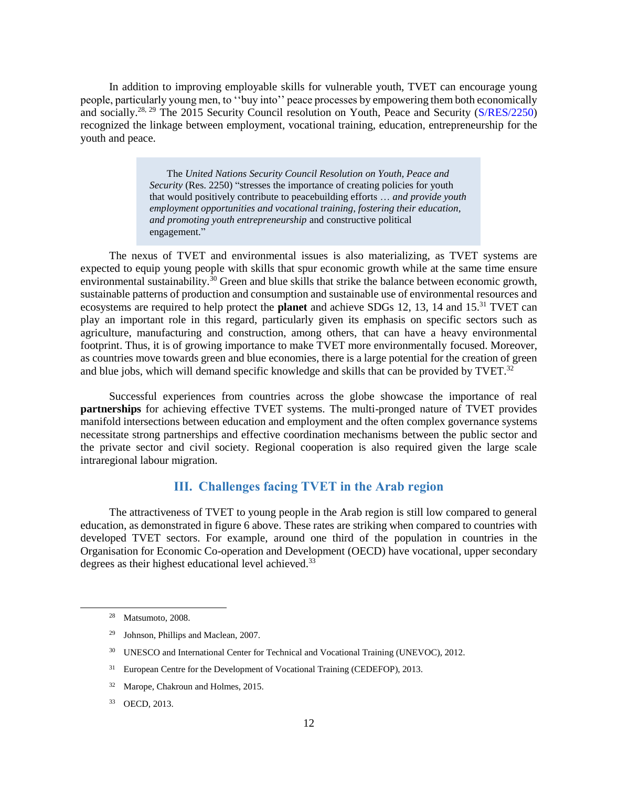In addition to improving employable skills for vulnerable youth, TVET can encourage young people, particularly young men, to ''buy into'' peace processes by empowering them both economically and socially.<sup>28, 29</sup> The 2015 Security Council resolution on Youth, Peace and Security [\(S/RES/2250\)](https://undocs.org/S/RES/2250(2015)) recognized the linkage between employment, vocational training, education, entrepreneurship for the youth and peace.

> The *United Nations Security Council Resolution on Youth, Peace and Security* (Res. 2250) "stresses the importance of creating policies for youth that would positively contribute to peacebuilding efforts … *and provide youth employment opportunities and vocational training, fostering their education, and promoting youth entrepreneurship* and constructive political engagement."

The nexus of TVET and environmental issues is also materializing, as TVET systems are expected to equip young people with skills that spur economic growth while at the same time ensure environmental sustainability.<sup>30</sup> Green and blue skills that strike the balance between economic growth, sustainable patterns of production and consumption and sustainable use of environmental resources and ecosystems are required to help protect the **planet** and achieve SDGs 12, 13, 14 and 15.<sup>31</sup> TVET can play an important role in this regard, particularly given its emphasis on specific sectors such as agriculture, manufacturing and construction, among others, that can have a heavy environmental footprint. Thus, it is of growing importance to make TVET more environmentally focused. Moreover, as countries move towards green and blue economies, there is a large potential for the creation of green and blue jobs, which will demand specific knowledge and skills that can be provided by TVET.<sup>32</sup>

Successful experiences from countries across the globe showcase the importance of real **partnerships** for achieving effective TVET systems. The multi-pronged nature of TVET provides manifold intersections between education and employment and the often complex governance systems necessitate strong partnerships and effective coordination mechanisms between the public sector and the private sector and civil society. Regional cooperation is also required given the large scale intraregional labour migration.

# **III. Challenges facing TVET in the Arab region**

<span id="page-13-0"></span>The attractiveness of TVET to young people in the Arab region is still low compared to general education, as demonstrated in figure 6 above. These rates are striking when compared to countries with developed TVET sectors. For example, around one third of the population in countries in the Organisation for Economic Co-operation and Development (OECD) have vocational, upper secondary degrees as their highest educational level achieved.<sup>33</sup>

<sup>28</sup> Matsumoto, 2008.

<sup>29</sup> Johnson, Phillips and Maclean, 2007.

<sup>&</sup>lt;sup>30</sup> UNESCO and International Center for Technical and Vocational Training (UNEVOC), 2012.

<sup>&</sup>lt;sup>31</sup> European Centre for the Development of Vocational Training (CEDEFOP), 2013.

<sup>32</sup> Marope, Chakroun and Holmes, 2015.

<sup>33</sup> OECD, 2013.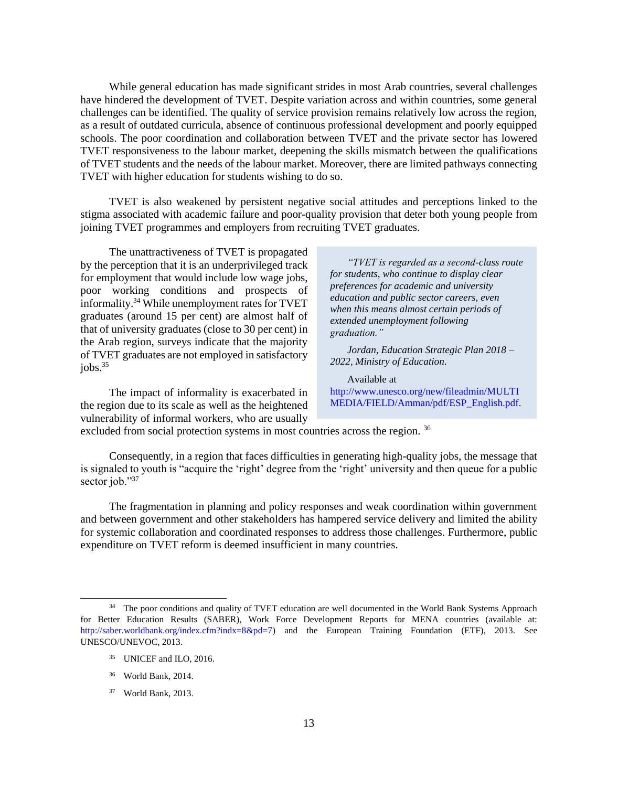While general education has made significant strides in most Arab countries, several challenges have hindered the development of TVET. Despite variation across and within countries, some general challenges can be identified. The quality of service provision remains relatively low across the region, as a result of outdated curricula, absence of continuous professional development and poorly equipped schools. The poor coordination and collaboration between TVET and the private sector has lowered TVET responsiveness to the labour market, deepening the skills mismatch between the qualifications of TVET students and the needs of the labour market. Moreover, there are limited pathways connecting TVET with higher education for students wishing to do so.

TVET is also weakened by persistent negative social attitudes and perceptions linked to the stigma associated with academic failure and poor-quality provision that deter both young people from joining TVET programmes and employers from recruiting TVET graduates.

The unattractiveness of TVET is propagated by the perception that it is an underprivileged track for employment that would include low wage jobs, poor working conditions and prospects of informality.<sup>34</sup> While unemployment rates for TVET graduates (around 15 per cent) are almost half of that of university graduates (close to 30 per cent) in the Arab region, surveys indicate that the majority of TVET graduates are not employed in satisfactory  $i$ obs. $35$ 

The impact of informality is exacerbated in the region due to its scale as well as the heightened vulnerability of informal workers, who are usually

*"TVET is regarded as a second-class route for students, who continue to display clear preferences for academic and university education and public sector careers, even when this means almost certain periods of extended unemployment following graduation."*

*Jordan, Education Strategic Plan 2018 – 2022, Ministry of Education.*

Available at [http://www.unesco.org/new/fileadmin/MULTI](http://www.unesco.org/new/fileadmin/MULTIMEDIA/FIELD/Amman/pdf/ESP_English.pdf) [MEDIA/FIELD/Amman/pdf/ESP\\_English.pdf.](http://www.unesco.org/new/fileadmin/MULTIMEDIA/FIELD/Amman/pdf/ESP_English.pdf)

excluded from social protection systems in most countries across the region.<sup>36</sup>

Consequently, in a region that faces difficulties in generating high-quality jobs, the message that is signaled to youth is "acquire the 'right' degree from the 'right' university and then queue for a public sector job."37

The fragmentation in planning and policy responses and weak coordination within government and between government and other stakeholders has hampered service delivery and limited the ability for systemic collaboration and coordinated responses to address those challenges. Furthermore, public expenditure on TVET reform is deemed insufficient in many countries.

<sup>&</sup>lt;sup>34</sup> The poor conditions and quality of TVET education are well documented in the World Bank Systems Approach for Better Education Results (SABER), Work Force Development Reports for MENA countries (available at: [http://saber.worldbank.org/index.cfm?indx=8&pd=7\)](http://saber.worldbank.org/index.cfm?indx=8&pd=7) and the European Training Foundation (ETF), 2013. See UNESCO/UNEVOC, 2013.

<sup>35</sup> UNICEF and ILO, 2016.

<sup>36</sup> World Bank, 2014.

<sup>37</sup> World Bank, 2013.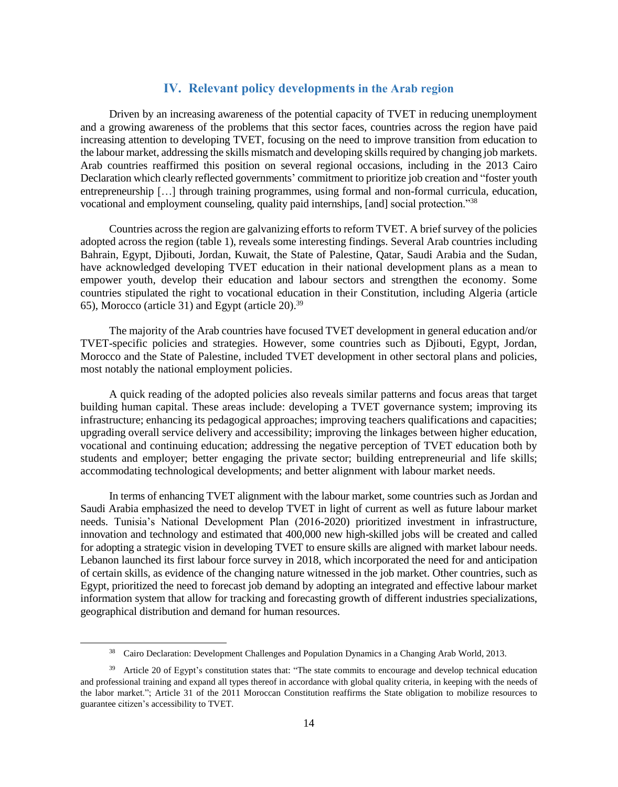# **IV. Relevant policy developments in the Arab region**

<span id="page-15-0"></span>Driven by an increasing awareness of the potential capacity of TVET in reducing unemployment and a growing awareness of the problems that this sector faces, countries across the region have paid increasing attention to developing TVET, focusing on the need to improve transition from education to the labour market, addressing the skills mismatch and developing skills required by changing job markets. Arab countries reaffirmed this position on several regional occasions, including in the 2013 Cairo Declaration which clearly reflected governments' commitment to prioritize job creation and "foster youth entrepreneurship […] through training programmes, using formal and non-formal curricula, education, vocational and employment counseling, quality paid internships, [and] social protection."<sup>38</sup>

Countries across the region are galvanizing efforts to reform TVET. A brief survey of the policies adopted across the region (table 1), reveals some interesting findings. Several Arab countries including Bahrain, Egypt, Djibouti, Jordan, Kuwait, the State of Palestine, Qatar, Saudi Arabia and the Sudan, have acknowledged developing TVET education in their national development plans as a mean to empower youth, develop their education and labour sectors and strengthen the economy. Some countries stipulated the right to vocational education in their Constitution, including Algeria (article 65), Morocco (article 31) and Egypt (article 20). 39

The majority of the Arab countries have focused TVET development in general education and/or TVET-specific policies and strategies. However, some countries such as Djibouti, Egypt, Jordan, Morocco and the State of Palestine, included TVET development in other sectoral plans and policies, most notably the national employment policies.

A quick reading of the adopted policies also reveals similar patterns and focus areas that target building human capital. These areas include: developing a TVET governance system; improving its infrastructure; enhancing its pedagogical approaches; improving teachers qualifications and capacities; upgrading overall service delivery and accessibility; improving the linkages between higher education, vocational and continuing education; addressing the negative perception of TVET education both by students and employer; better engaging the private sector; building entrepreneurial and life skills; accommodating technological developments; and better alignment with labour market needs.

In terms of enhancing TVET alignment with the labour market, some countries such as Jordan and Saudi Arabia emphasized the need to develop TVET in light of current as well as future labour market needs. Tunisia's National Development Plan (2016-2020) prioritized investment in infrastructure, innovation and technology and estimated that 400,000 new high-skilled jobs will be created and called for adopting a strategic vision in developing TVET to ensure skills are aligned with market labour needs. Lebanon launched its first labour force survey in 2018, which incorporated the need for and anticipation of certain skills, as evidence of the changing nature witnessed in the job market. Other countries, such as Egypt, prioritized the need to forecast job demand by adopting an integrated and effective labour market information system that allow for tracking and forecasting growth of different industries specializations, geographical distribution and demand for human resources.

<sup>38</sup> Cairo Declaration: [Development](https://arabstates.unfpa.org/sites/default/files/pub-pdf/2013_Cairo_Declaration_English.pdf) Challenges and Population Dynamics in a Changing Arab World, 2013.

<sup>&</sup>lt;sup>39</sup> Article 20 of Egypt's constitution states that: "The state commits to encourage and develop technical education and professional training and expand all types thereof in accordance with global quality criteria, in keeping with the needs of the labor market."; Article 31 of the 2011 Moroccan Constitution reaffirms the State obligation to mobilize resources to guarantee citizen's accessibility to TVET.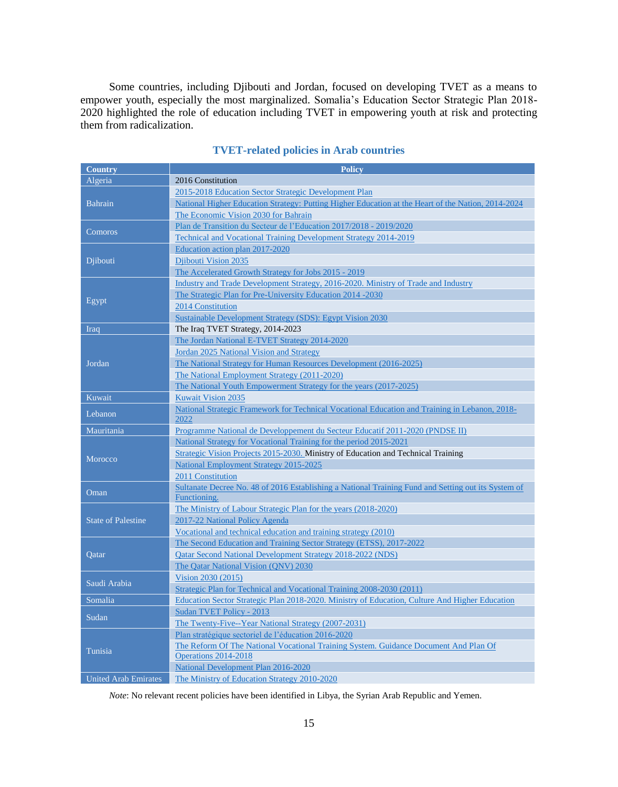Some countries, including Djibouti and Jordan, focused on developing TVET as a means to empower youth, especially the most marginalized. Somalia's Education Sector Strategic Plan 2018- 2020 highlighted the role of education including TVET in empowering youth at risk and protecting them from radicalization.

| <b>Country</b>              | <b>Policy</b>                                                                                       |  |
|-----------------------------|-----------------------------------------------------------------------------------------------------|--|
| Algeria                     | 2016 Constitution                                                                                   |  |
|                             | 2015-2018 Education Sector Strategic Development Plan                                               |  |
| <b>Bahrain</b>              | National Higher Education Strategy: Putting Higher Education at the Heart of the Nation, 2014-2024  |  |
|                             | The Economic Vision 2030 for Bahrain                                                                |  |
|                             | Plan de Transition du Secteur de l'Education 2017/2018 - 2019/2020                                  |  |
| Comoros                     | <b>Technical and Vocational Training Development Strategy 2014-2019</b>                             |  |
|                             | Education action plan 2017-2020                                                                     |  |
| Djibouti                    | Djibouti Vision 2035                                                                                |  |
|                             | The Accelerated Growth Strategy for Jobs 2015 - 2019                                                |  |
|                             | Industry and Trade Development Strategy, 2016-2020. Ministry of Trade and Industry                  |  |
|                             | The Strategic Plan for Pre-University Education 2014 -2030                                          |  |
| Egypt                       | 2014 Constitution                                                                                   |  |
|                             | Sustainable Development Strategy (SDS): Egypt Vision 2030                                           |  |
| Iraq                        | The Iraq TVET Strategy, 2014-2023                                                                   |  |
|                             | The Jordan National E-TVET Strategy 2014-2020                                                       |  |
|                             | Jordan 2025 National Vision and Strategy                                                            |  |
| Jordan                      | The National Strategy for Human Resources Development (2016-2025)                                   |  |
|                             | The National Employment Strategy (2011-2020)                                                        |  |
|                             | The National Youth Empowerment Strategy for the years (2017-2025)                                   |  |
| Kuwait                      | <b>Kuwait Vision 2035</b>                                                                           |  |
|                             | National Strategic Framework for Technical Vocational Education and Training in Lebanon, 2018-      |  |
| Lebanon                     | 2022                                                                                                |  |
| Mauritania                  | Programme National de Developpement du Secteur Educatif 2011-2020 (PNDSE II)                        |  |
|                             | National Strategy for Vocational Training for the period 2015-2021                                  |  |
| Morocco                     | Strategic Vision Projects 2015-2030. Ministry of Education and Technical Training                   |  |
|                             | National Employment Strategy 2015-2025                                                              |  |
|                             | 2011 Constitution                                                                                   |  |
| Oman                        | Sultanate Decree No. 48 of 2016 Establishing a National Training Fund and Setting out its System of |  |
|                             | Functioning.                                                                                        |  |
|                             | The Ministry of Labour Strategic Plan for the years (2018-2020)                                     |  |
| <b>State of Palestine</b>   | 2017-22 National Policy Agenda                                                                      |  |
|                             | Vocational and technical education and training strategy (2010)                                     |  |
|                             | The Second Education and Training Sector Strategy (ETSS), 2017-2022                                 |  |
| Qatar                       | <b>Qatar Second National Development Strategy 2018-2022 (NDS)</b>                                   |  |
|                             | The Qatar National Vision (QNV) 2030                                                                |  |
| Saudi Arabia                | Vision 2030 (2015)                                                                                  |  |
|                             | Strategic Plan for Technical and Vocational Training 2008-2030 (2011)                               |  |
| Somalia                     | Education Sector Strategic Plan 2018-2020. Ministry of Education, Culture And Higher Education      |  |
| Sudan                       | Sudan TVET Policy - 2013                                                                            |  |
|                             | The Twenty-Five--Year National Strategy (2007-2031)                                                 |  |
|                             | Plan stratégique sectoriel de l'éducation 2016-2020                                                 |  |
| Tunisia                     | The Reform Of The National Vocational Training System. Guidance Document And Plan Of                |  |
|                             | Operations 2014-2018                                                                                |  |
|                             | National Development Plan 2016-2020                                                                 |  |
| <b>United Arab Emirates</b> | The Ministry of Education Strategy 2010-2020                                                        |  |

### **TVET-related policies in Arab countries**

*Note*: No relevant recent policies have been identified in Libya, the Syrian Arab Republic and Yemen.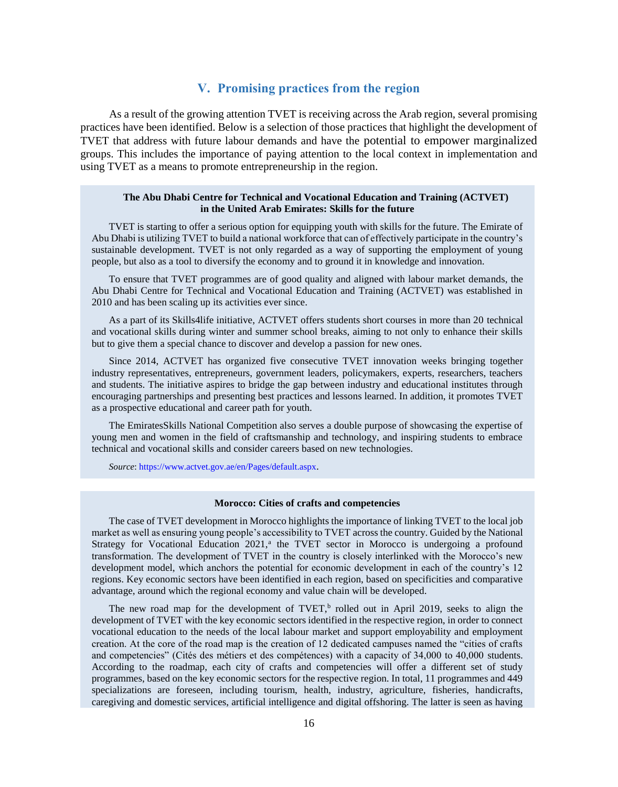# **V. Promising practices from the region**

<span id="page-17-0"></span>As a result of the growing attention TVET is receiving across the Arab region, several promising practices have been identified. Below is a selection of those practices that highlight the development of TVET that address with future labour demands and have the potential to empower marginalized groups. This includes the importance of paying attention to the local context in implementation and using TVET as a means to promote entrepreneurship in the region.

### **The Abu Dhabi Centre for Technical and Vocational Education and Training (ACTVET) in the United Arab Emirates: Skills for the future**

TVET is starting to offer a serious option for equipping youth with skills for the future. The Emirate of Abu Dhabi is utilizing TVET to build a national workforce that can of effectively participate in the country's sustainable development. TVET is not only regarded as a way of supporting the employment of young people, but also as a tool to diversify the economy and to ground it in knowledge and innovation.

To ensure that TVET programmes are of good quality and aligned with labour market demands, the Abu Dhabi Centre for Technical and Vocational Education and Training (ACTVET) was established in 2010 and has been scaling up its activities ever since.

As a part of its Skills4life initiative, ACTVET offers students short courses in more than 20 technical and vocational skills during winter and summer school breaks, aiming to not only to enhance their skills but to give them a special chance to discover and develop a passion for new ones.

Since 2014, ACTVET has organized five consecutive TVET innovation weeks bringing together industry representatives, entrepreneurs, government leaders, policymakers, experts, researchers, teachers and students. The initiative aspires to bridge the gap between industry and educational institutes through encouraging partnerships and presenting best practices and lessons learned. In addition, it promotes TVET as a prospective educational and career path for youth.

The EmiratesSkills National Competition also serves a double purpose of showcasing the expertise of young men and women in the field of craftsmanship and technology, and inspiring students to embrace technical and vocational skills and consider careers based on new technologies.

*Source*[: https://www.actvet.gov.ae/en/Pages/default.aspx](https://www.actvet.gov.ae/en/Pages/default.aspx).

### **Morocco: Cities of crafts and competencies**

The case of TVET development in Morocco highlights the importance of linking TVET to the local job market as well as ensuring young people's accessibility to TVET across the country. Guided by the National Strategy for Vocational Education 2021,<sup>a</sup> the TVET sector in Morocco is undergoing a profound transformation. The development of TVET in the country is closely interlinked with the Morocco's new development model, which anchors the potential for economic development in each of the country's 12 regions. Key economic sectors have been identified in each region, based on specificities and comparative advantage, around which the regional economy and value chain will be developed.

The new road map for the development of  $TVET$ ,  $b$  rolled out in April 2019, seeks to align the development of TVET with the key economic sectors identified in the respective region, in order to connect vocational education to the needs of the local labour market and support employability and employment creation. At the core of the road map is the creation of 12 dedicated campuses named the "cities of crafts and competencies" (Cités des métiers et des compétences) with a capacity of 34,000 to 40,000 students. According to the roadmap, each city of crafts and competencies will offer a different set of study programmes, based on the key economic sectors for the respective region. In total, 11 programmes and 449 specializations are foreseen, including tourism, health, industry, agriculture, fisheries, handicrafts, caregiving and domestic services, artificial intelligence and digital offshoring. The latter is seen as having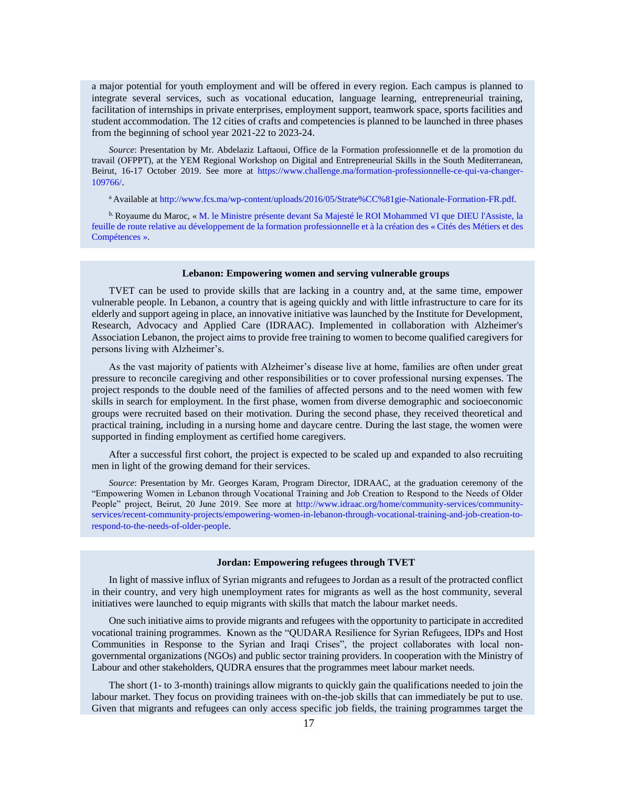a major potential for youth employment and will be offered in every region. Each campus is planned to integrate several services, such as vocational education, language learning, entrepreneurial training, facilitation of internships in private enterprises, employment support, teamwork space, sports facilities and student accommodation. The 12 cities of crafts and competencies is planned to be launched in three phases from the beginning of school year 2021-22 to 2023-24.

*Source*: Presentation by Mr. Abdelaziz Laftaoui, Office de la Formation professionnelle et de la promotion du travail (OFPPT), at the YEM Regional Workshop on Digital and Entrepreneurial Skills in the South Mediterranean, Beirut, 16-17 October 2019. See more at [https://www.challenge.ma/formation-professionnelle-ce-qui-va-changer-](https://www.challenge.ma/formation-professionnelle-ce-qui-va-changer-109766/)[109766/](https://www.challenge.ma/formation-professionnelle-ce-qui-va-changer-109766/).

<sup>a</sup> Available a[t http://www.fcs.ma/wp-content/uploads/2016/05/Strate%CC%81gie-Nationale-Formation-FR.pdf.](http://www.fcs.ma/wp-content/uploads/2016/05/Strate%CC%81gie-Nationale-Formation-FR.pdf)

b. Royaume du Maroc, « [M. le Ministre présente devant Sa Majesté le ROI Mohammed VI que DIEU l'Assiste, la](https://enssup.gov.ma/fr/Actualite/4833-%D8%A7%D9%84%D8%B3%D9%8A%D8%AF-%D8%A7%D9%84%D9%88%D8%B2%D9%8A%D8%B1-%D9%8A%D9%82%D8%AF%D9%85-%D8%B9%D8%B1%D8%B6%D8%A7-%D8%A3%D9%85%D8%A7%D9%85-%D8%B5%D8%A7%D8%AD%D8%A8-%D8%A7%D9%84%D8%AC%D9%84%D8%A7%D9%84%D8%A9-%D8%A7%D9%84%D9%85%D9%84%D9%83-%D9%85%D8%AD%D9%85%D8%AF-%D8%A7%D9%84%D8%B3%D8%A7%D8%AF%D8%B3%D8%8C-%D9%86%D8%B5%D8%B1%D9%87-%D8%A7%D9%84%D9%84%D9%87-%D9%88%D8%A3%D9%8A%D8%AF%D9%87%D8%8C-%D8%AD%D9%88%D9%84)  [feuille de route relative au développement de la formation professionnelle et à la création des « Cités des Métiers et des](https://enssup.gov.ma/fr/Actualite/4833-%D8%A7%D9%84%D8%B3%D9%8A%D8%AF-%D8%A7%D9%84%D9%88%D8%B2%D9%8A%D8%B1-%D9%8A%D9%82%D8%AF%D9%85-%D8%B9%D8%B1%D8%B6%D8%A7-%D8%A3%D9%85%D8%A7%D9%85-%D8%B5%D8%A7%D8%AD%D8%A8-%D8%A7%D9%84%D8%AC%D9%84%D8%A7%D9%84%D8%A9-%D8%A7%D9%84%D9%85%D9%84%D9%83-%D9%85%D8%AD%D9%85%D8%AF-%D8%A7%D9%84%D8%B3%D8%A7%D8%AF%D8%B3%D8%8C-%D9%86%D8%B5%D8%B1%D9%87-%D8%A7%D9%84%D9%84%D9%87-%D9%88%D8%A3%D9%8A%D8%AF%D9%87%D8%8C-%D8%AD%D9%88%D9%84)  [Compétences ».](https://enssup.gov.ma/fr/Actualite/4833-%D8%A7%D9%84%D8%B3%D9%8A%D8%AF-%D8%A7%D9%84%D9%88%D8%B2%D9%8A%D8%B1-%D9%8A%D9%82%D8%AF%D9%85-%D8%B9%D8%B1%D8%B6%D8%A7-%D8%A3%D9%85%D8%A7%D9%85-%D8%B5%D8%A7%D8%AD%D8%A8-%D8%A7%D9%84%D8%AC%D9%84%D8%A7%D9%84%D8%A9-%D8%A7%D9%84%D9%85%D9%84%D9%83-%D9%85%D8%AD%D9%85%D8%AF-%D8%A7%D9%84%D8%B3%D8%A7%D8%AF%D8%B3%D8%8C-%D9%86%D8%B5%D8%B1%D9%87-%D8%A7%D9%84%D9%84%D9%87-%D9%88%D8%A3%D9%8A%D8%AF%D9%87%D8%8C-%D8%AD%D9%88%D9%84)

### **Lebanon: Empowering women and serving vulnerable groups**

TVET can be used to provide skills that are lacking in a country and, at the same time, empower vulnerable people. In Lebanon, a country that is ageing quickly and with little infrastructure to care for its elderly and support ageing in place, an innovative initiative was launched by the Institute for Development, Research, Advocacy and Applied Care (IDRAAC). Implemented in collaboration with Alzheimer's Association Lebanon, the project aims to provide free training to women to become qualified caregivers for persons living with Alzheimer's.

As the vast majority of patients with Alzheimer's disease live at home, families are often under great pressure to reconcile caregiving and other responsibilities or to cover professional nursing expenses. The project responds to the double need of the families of affected persons and to the need women with few skills in search for employment. In the first phase, women from diverse demographic and socioeconomic groups were recruited based on their motivation. During the second phase, they received theoretical and practical training, including in a nursing home and daycare centre. During the last stage, the women were supported in finding employment as certified home caregivers.

After a successful first cohort, the project is expected to be scaled up and expanded to also recruiting men in light of the growing demand for their services.

*Source*: Presentation by Mr. Georges Karam, Program Director, IDRAAC, at the graduation ceremony of the "Empowering Women in Lebanon through Vocational Training and Job Creation to Respond to the Needs of Older People" project, Beirut, 20 June 2019. See more at [http://www.idraac.org/home/community-services/community](http://www.idraac.org/home/community-services/community-services/recent-community-projects/empowering-women-in-lebanon-through-vocational-training-and-job-creation-to-respond-to-the-needs-of-older-people)[services/recent-community-projects/empowering-women-in-lebanon-through-vocational-training-and-job-creation-to](http://www.idraac.org/home/community-services/community-services/recent-community-projects/empowering-women-in-lebanon-through-vocational-training-and-job-creation-to-respond-to-the-needs-of-older-people)[respond-to-the-needs-of-older-people](http://www.idraac.org/home/community-services/community-services/recent-community-projects/empowering-women-in-lebanon-through-vocational-training-and-job-creation-to-respond-to-the-needs-of-older-people).

#### **Jordan: Empowering refugees through TVET**

In light of massive influx of Syrian migrants and refugees to Jordan as a result of the protracted conflict in their country, and very high unemployment rates for migrants as well as the host community, several initiatives were launched to equip migrants with skills that match the labour market needs.

One such initiative aims to provide migrants and refugees with the opportunity to participate in accredited vocational training programmes. Known as the "QUDARA Resilience for Syrian Refugees, IDPs and Host Communities in Response to the Syrian and Iraqi Crises", the project collaborates with local nongovernmental organizations (NGOs) and public sector training providers. In cooperation with the Ministry of Labour and other stakeholders, QUDRA ensures that the programmes meet labour market needs.

The short (1- to 3-month) trainings allow migrants to quickly gain the qualifications needed to join the labour market. They focus on providing trainees with on-the-job skills that can immediately be put to use. Given that migrants and refugees can only access specific job fields, the training programmes target the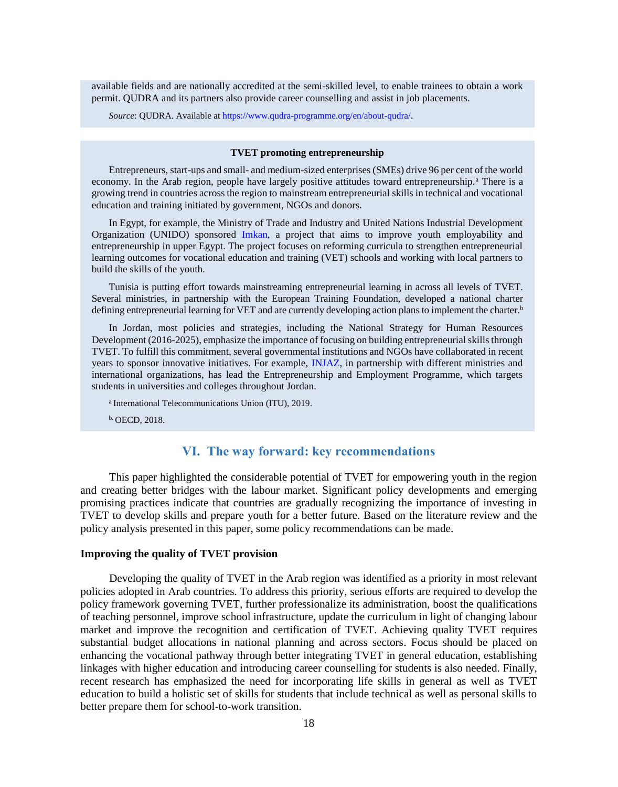available fields and are nationally accredited at the semi-skilled level, to enable trainees to obtain a work permit. QUDRA and its partners also provide career counselling and assist in job placements.

*Source*: QUDRA. Available a[t https://www.qudra-programme.org/en/about-qudra/](https://www.qudra-programme.org/en/about-qudra/).

#### **TVET promoting entrepreneurship**

Entrepreneurs, start-ups and small- and medium-sized enterprises (SMEs) drive 96 per cent of the world economy. In the Arab region, people have largely positive attitudes toward entrepreneurship.<sup>a</sup> There is a growing trend in countries across the region to mainstream entrepreneurial skills in technical and vocational education and training initiated by government, NGOs and donors.

In Egypt, for example, the Ministry of Trade and Industry and United Nations Industrial Development Organization (UNIDO) sponsored [Imkan,](https://www.facebook.com/pg/imkanproject/about/?ref=page_internal) a project that aims to improve youth employability and entrepreneurship in upper Egypt. The project focuses on reforming curricula to strengthen entrepreneurial learning outcomes for vocational education and training (VET) schools and working with local partners to build the skills of the youth.

Tunisia is putting effort towards mainstreaming entrepreneurial learning in across all levels of TVET. Several ministries, in partnership with the European Training Foundation, developed a national charter defining entrepreneurial learning for VET and are currently developing action plans to implement the charter.<sup>b</sup>

In Jordan, most policies and strategies, including the National Strategy for Human Resources Development (2016-2025), emphasize the importance of focusing on building entrepreneurial skills through TVET. To fulfill this commitment, several governmental institutions and NGOs have collaborated in recent years to sponsor innovative initiatives. For example, [INJAZ,](http://injaz.org.jo/Pages/viewpage.aspx?pageID=111) in partnership with different ministries and international organizations, has lead the Entrepreneurship and Employment Programme, which targets students in universities and colleges throughout Jordan.

<sup>a</sup> International Telecommunications Union (ITU), 2019.

<span id="page-19-0"></span>b. OECD, 2018.

# **VI. The way forward: key recommendations**

This paper highlighted the considerable potential of TVET for empowering youth in the region and creating better bridges with the labour market. Significant policy developments and emerging promising practices indicate that countries are gradually recognizing the importance of investing in TVET to develop skills and prepare youth for a better future. Based on the literature review and the policy analysis presented in this paper, some policy recommendations can be made.

#### **Improving the quality of TVET provision**

Developing the quality of TVET in the Arab region was identified as a priority in most relevant policies adopted in Arab countries. To address this priority, serious efforts are required to develop the policy framework governing TVET, further professionalize its administration, boost the qualifications of teaching personnel, improve school infrastructure, update the curriculum in light of changing labour market and improve the recognition and certification of TVET. Achieving quality TVET requires substantial budget allocations in national planning and across sectors. Focus should be placed on enhancing the vocational pathway through better integrating TVET in general education, establishing linkages with higher education and introducing career counselling for students is also needed. Finally, recent research has emphasized the need for incorporating life skills in general as well as TVET education to build a holistic set of skills for students that include technical as well as personal skills to better prepare them for school-to-work transition.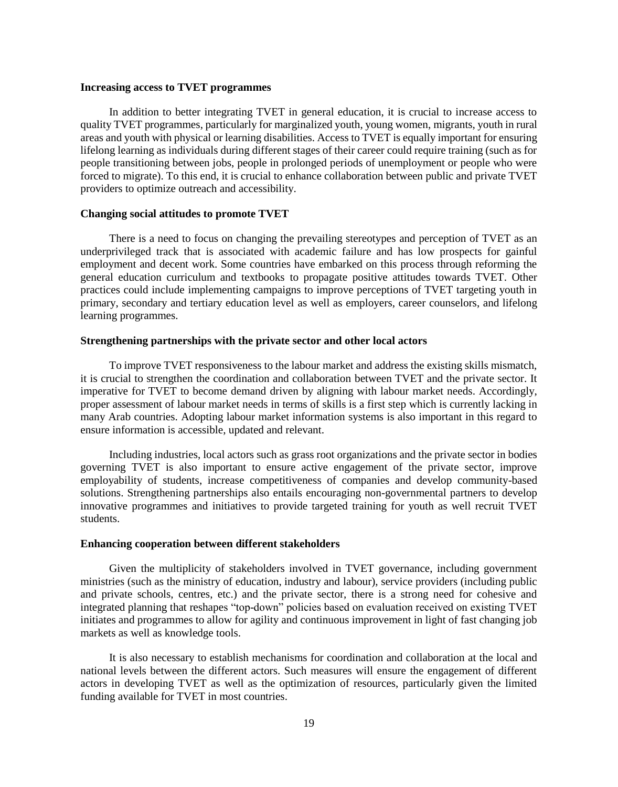### **Increasing access to TVET programmes**

In addition to better integrating TVET in general education, it is crucial to increase access to quality TVET programmes, particularly for marginalized youth, young women, migrants, youth in rural areas and youth with physical or learning disabilities. Access to TVET is equally important for ensuring lifelong learning as individuals during different stages of their career could require training (such as for people transitioning between jobs, people in prolonged periods of unemployment or people who were forced to migrate). To this end, it is crucial to enhance collaboration between public and private TVET providers to optimize outreach and accessibility.

#### **Changing social attitudes to promote TVET**

There is a need to focus on changing the prevailing stereotypes and perception of TVET as an underprivileged track that is associated with academic failure and has low prospects for gainful employment and decent work. Some countries have embarked on this process through reforming the general education curriculum and textbooks to propagate positive attitudes towards TVET. Other practices could include implementing campaigns to improve perceptions of TVET targeting youth in primary, secondary and tertiary education level as well as employers, career counselors, and lifelong learning programmes.

### **Strengthening partnerships with the private sector and other local actors**

To improve TVET responsiveness to the labour market and address the existing skills mismatch, it is crucial to strengthen the coordination and collaboration between TVET and the private sector. It imperative for TVET to become demand driven by aligning with labour market needs. Accordingly, proper assessment of labour market needs in terms of skills is a first step which is currently lacking in many Arab countries. Adopting labour market information systems is also important in this regard to ensure information is accessible, updated and relevant.

Including industries, local actors such as grass root organizations and the private sector in bodies governing TVET is also important to ensure active engagement of the private sector, improve employability of students, increase competitiveness of companies and develop community-based solutions. Strengthening partnerships also entails encouraging non-governmental partners to develop innovative programmes and initiatives to provide targeted training for youth as well recruit TVET students.

### **Enhancing cooperation between different stakeholders**

Given the multiplicity of stakeholders involved in TVET governance, including government ministries (such as the ministry of education, industry and labour), service providers (including public and private schools, centres, etc.) and the private sector, there is a strong need for cohesive and integrated planning that reshapes "top-down" policies based on evaluation received on existing TVET initiates and programmes to allow for agility and continuous improvement in light of fast changing job markets as well as knowledge tools.

It is also necessary to establish mechanisms for coordination and collaboration at the local and national levels between the different actors. Such measures will ensure the engagement of different actors in developing TVET as well as the optimization of resources, particularly given the limited funding available for TVET in most countries.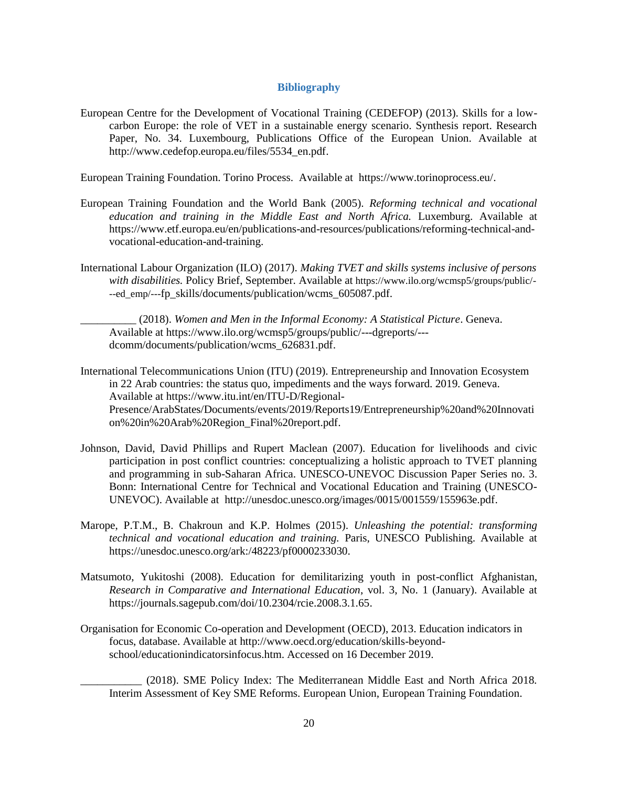### **Bibliography**

<span id="page-21-0"></span>European Centre for the Development of Vocational Training (CEDEFOP) (2013). Skills for a lowcarbon Europe: the role of VET in a sustainable energy scenario. Synthesis report. Research Paper, No. 34. Luxembourg, Publications Office of the European Union. Available at [http://www.cedefop.europa.eu/files/5534\\_en.pdf.](http://www.cedefop.europa.eu/files/5534_en.pdf)

European Training Foundation. Torino Process. Available at [https://www.torinoprocess.eu/.](https://www.torinoprocess.eu/)

- European Training Foundation and the World Bank (2005). *Reforming technical and vocational education and training in the Middle East and North Africa.* Luxemburg. Available at https://www.etf.europa.eu/en/publications-and-resources/publications/reforming-technical-andvocational-education-and-training.
- International Labour Organization (ILO) (2017). *Making TVET and skills systems inclusive of persons with disabilities.* Policy Brief, September. Available at https://www.ilo.org/wcmsp5/groups/public/- --ed\_emp/---fp\_skills/documents/publication/wcms\_605087.pdf.

\_\_\_\_\_\_\_\_\_\_ (2018). *Women and Men in the Informal Economy: A Statistical Picture*. Geneva. Available at [https://www.ilo.org/wcmsp5/groups/public/---dgreports/--](https://www.ilo.org/wcmsp5/groups/public/---dgreports/---dcomm/documents/publication/wcms_626831.pdf) [dcomm/documents/publication/wcms\\_626831.pdf.](https://www.ilo.org/wcmsp5/groups/public/---dgreports/---dcomm/documents/publication/wcms_626831.pdf)

- International Telecommunications Union (ITU) (2019). Entrepreneurship and Innovation Ecosystem in 22 Arab countries: the status quo, impediments and the ways forward. 2019. Geneva. Available at [https://www.itu.int/en/ITU-D/Regional-](https://www.itu.int/en/ITU-D/Regional-Presence/ArabStates/Documents/events/2019/Reports19/Entrepreneurship%20and%20Innovation%20in%20Arab%20Region_Final%20report.pdf)[Presence/ArabStates/Documents/events/2019/Reports19/Entrepreneurship%20and%20Innovati](https://www.itu.int/en/ITU-D/Regional-Presence/ArabStates/Documents/events/2019/Reports19/Entrepreneurship%20and%20Innovation%20in%20Arab%20Region_Final%20report.pdf) [on%20in%20Arab%20Region\\_Final%20report.pdf.](https://www.itu.int/en/ITU-D/Regional-Presence/ArabStates/Documents/events/2019/Reports19/Entrepreneurship%20and%20Innovation%20in%20Arab%20Region_Final%20report.pdf)
- Johnson, David, David Phillips and Rupert Maclean (2007). Education for livelihoods and civic participation in post conflict countries: conceptualizing a holistic approach to TVET planning and programming in sub-Saharan Africa. UNESCO-UNEVOC Discussion Paper Series no. 3. Bonn: International Centre for Technical and Vocational Education and Training (UNESCO-UNEVOC). Available at [http://unesdoc.unesco.org/images/0015/001559/155963e.pdf.](http://unesdoc.unesco.org/images/0015/001559/155963e.pdf)
- Marope, P.T.M., B. Chakroun and K.P. Holmes (2015). *Unleashing the potential: transforming technical and vocational education and training.* Paris, UNESCO Publishing. Available at [https://unesdoc.unesco.org/ark:/48223/pf0000233030.](https://unesdoc.unesco.org/ark:/48223/pf0000233030)
- Matsumoto, Yukitoshi (2008). Education for demilitarizing youth in post-conflict Afghanistan, *Research in Comparative and International Education*, vol. 3, No. 1 (January). Available at [https://journals.sagepub.com/doi/10.2304/rcie.2008.3.1.65.](https://journals.sagepub.com/doi/10.2304/rcie.2008.3.1.65)
- Organisation for Economic Co-operation and Development (OECD), 2013. Education indicators in focus, database. Available at [http://www.oecd.org/education/skills-beyond](http://www.oecd.org/education/skills-beyond-school/educationindicatorsinfocus.htm)[school/educationindicatorsinfocus.htm.](http://www.oecd.org/education/skills-beyond-school/educationindicatorsinfocus.htm) Accessed on 16 December 2019.

\_\_\_\_\_\_\_\_\_\_\_ (2018). SME Policy Index: The Mediterranean Middle East and North Africa 2018. Interim Assessment of Key SME Reforms. European Union, European Training Foundation.